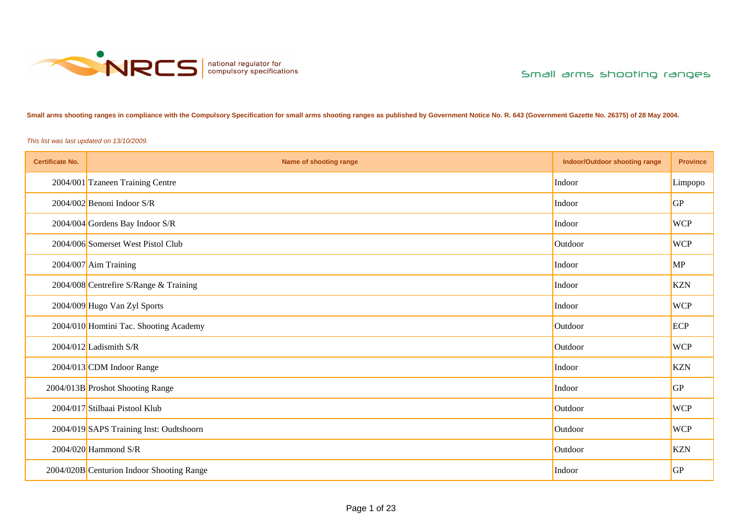

**Small arms shooting ranges in compliance with the Compulsory Specification for small arms shooting ranges as published by Government Notice No. R. 643 (Government Gazette No. 26375) of 28 May 2004.**

*This list was last updated on 13/10/2009.*

| <b>Certificate No.</b> | Name of shooting range                    | <b>Indoor/Outdoor shooting range</b> | <b>Province</b> |
|------------------------|-------------------------------------------|--------------------------------------|-----------------|
|                        | 2004/001 Tzaneen Training Centre          | Indoor                               | Limpopo         |
|                        | $2004/002$ Benoni Indoor S/R              | Indoor                               | <b>GP</b>       |
|                        | $2004/004$ Gordens Bay Indoor S/R         | Indoor                               | <b>WCP</b>      |
|                        | 2004/006 Somerset West Pistol Club        | Outdoor                              | <b>WCP</b>      |
|                        | 2004/007 Aim Training                     | Indoor                               | <b>MP</b>       |
|                        | 2004/008 Centrefire S/Range & Training    | Indoor                               | <b>KZN</b>      |
|                        | 2004/009 Hugo Van Zyl Sports              | Indoor                               | <b>WCP</b>      |
|                        | 2004/010 Homtini Tac. Shooting Academy    | Outdoor                              | ECP             |
|                        | 2004/012 Ladismith S/R                    | Outdoor                              | <b>WCP</b>      |
|                        | 2004/013 CDM Indoor Range                 | Indoor                               | <b>KZN</b>      |
|                        | 2004/013B Proshot Shooting Range          | Indoor                               | GP              |
|                        | 2004/017 Stilbaai Pistool Klub            | Outdoor                              | <b>WCP</b>      |
|                        | 2004/019 SAPS Training Inst: Oudtshoorn   | Outdoor                              | <b>WCP</b>      |
|                        | $2004/020$ Hammond S/R                    | Outdoor                              | <b>KZN</b>      |
|                        | 2004/020B Centurion Indoor Shooting Range | Indoor                               | <b>GP</b>       |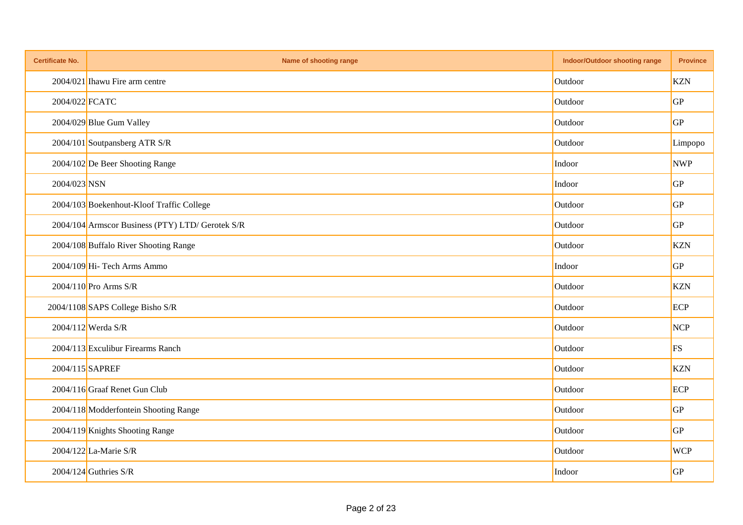| <b>Certificate No.</b> | Name of shooting range                           | Indoor/Outdoor shooting range | <b>Province</b> |
|------------------------|--------------------------------------------------|-------------------------------|-----------------|
|                        | 2004/021 Ihawu Fire arm centre                   | Outdoor                       | <b>KZN</b>      |
| 2004/022 FCATC         |                                                  | Outdoor                       | GP              |
|                        | 2004/029 Blue Gum Valley                         | Outdoor                       | GP              |
|                        | 2004/101 Soutpansberg ATR S/R                    | Outdoor                       | Limpopo         |
|                        | 2004/102 De Beer Shooting Range                  | Indoor                        | <b>NWP</b>      |
| 2004/023 NSN           |                                                  | Indoor                        | GP              |
|                        | 2004/103 Boekenhout-Kloof Traffic College        | Outdoor                       | GP              |
|                        | 2004/104 Armscor Business (PTY) LTD/ Gerotek S/R | Outdoor                       | GP              |
|                        | 2004/108 Buffalo River Shooting Range            | Outdoor                       | <b>KZN</b>      |
|                        | 2004/109 Hi- Tech Arms Ammo                      | Indoor                        | GP              |
|                        | 2004/110 Pro Arms S/R                            | Outdoor                       | <b>KZN</b>      |
|                        | 2004/1108 SAPS College Bisho S/R                 | Outdoor                       | ECP             |
|                        | 2004/112 Werda S/R                               | Outdoor                       | <b>NCP</b>      |
|                        | 2004/113 Exculibur Firearms Ranch                | Outdoor                       | FS              |
|                        | 2004/115 SAPREF                                  | Outdoor                       | <b>KZN</b>      |
|                        | 2004/116 Graaf Renet Gun Club                    | Outdoor                       | ECP             |
|                        | 2004/118 Modderfontein Shooting Range            | Outdoor                       | GP              |
|                        | 2004/119 Knights Shooting Range                  | Outdoor                       | GP              |
|                        | 2004/122 La-Marie S/R                            | Outdoor                       | <b>WCP</b>      |
|                        | 2004/124 Guthries S/R                            | Indoor                        | GP              |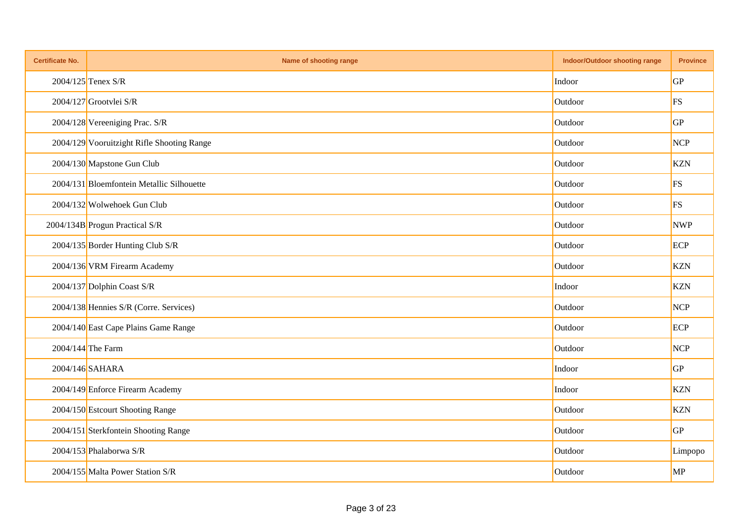| <b>Certificate No.</b> | Name of shooting range                     | <b>Indoor/Outdoor shooting range</b> | <b>Province</b> |
|------------------------|--------------------------------------------|--------------------------------------|-----------------|
|                        | $2004/125$ Tenex S/R                       | Indoor                               | <b>GP</b>       |
|                        | 2004/127 Grootvlei S/R                     | Outdoor                              | <b>FS</b>       |
|                        | 2004/128 Vereeniging Prac. S/R             | Outdoor                              | <b>GP</b>       |
|                        | 2004/129 Vooruitzight Rifle Shooting Range | Outdoor                              | <b>NCP</b>      |
|                        | 2004/130 Mapstone Gun Club                 | Outdoor                              | <b>KZN</b>      |
|                        | 2004/131 Bloemfontein Metallic Silhouette  | Outdoor                              | <b>FS</b>       |
|                        | 2004/132 Wolwehoek Gun Club                | Outdoor                              | <b>FS</b>       |
|                        | 2004/134B Progun Practical S/R             | Outdoor                              | <b>NWP</b>      |
|                        | 2004/135 Border Hunting Club S/R           | Outdoor                              | ECP             |
|                        | 2004/136 VRM Firearm Academy               | Outdoor                              | <b>KZN</b>      |
|                        | 2004/137 Dolphin Coast S/R                 | Indoor                               | <b>KZN</b>      |
|                        | 2004/138 Hennies S/R (Corre. Services)     | Outdoor                              | <b>NCP</b>      |
|                        | 2004/140 East Cape Plains Game Range       | Outdoor                              | ECP             |
|                        | 2004/144 The Farm                          | Outdoor                              | <b>NCP</b>      |
|                        | 2004/146 SAHARA                            | Indoor                               | GP              |
|                        | 2004/149 Enforce Firearm Academy           | Indoor                               | <b>KZN</b>      |
|                        | 2004/150 Estcourt Shooting Range           | Outdoor                              | <b>KZN</b>      |
|                        | 2004/151 Sterkfontein Shooting Range       | Outdoor                              | <b>GP</b>       |
|                        | 2004/153 Phalaborwa S/R                    | Outdoor                              | Limpopo         |
|                        | 2004/155 Malta Power Station S/R           | Outdoor                              | <b>MP</b>       |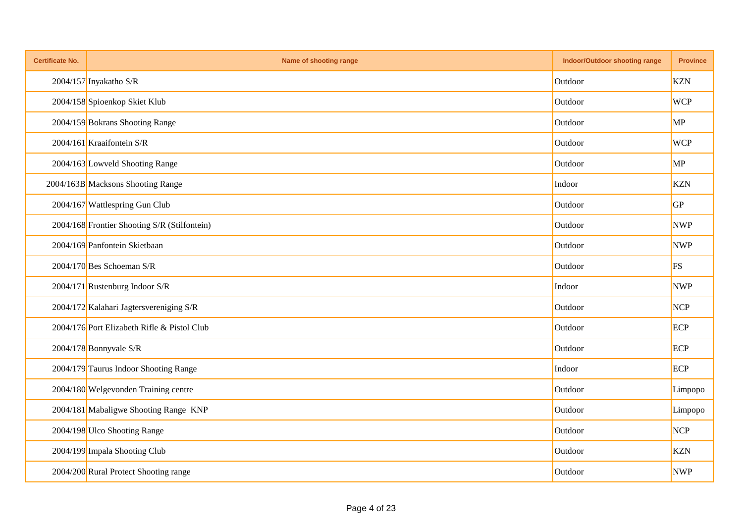| <b>Certificate No.</b> | Name of shooting range                       | <b>Indoor/Outdoor shooting range</b> | <b>Province</b> |
|------------------------|----------------------------------------------|--------------------------------------|-----------------|
|                        | 2004/157 Inyakatho S/R                       | Outdoor                              | <b>KZN</b>      |
|                        | 2004/158 Spioenkop Skiet Klub                | Outdoor                              | <b>WCP</b>      |
|                        | 2004/159 Bokrans Shooting Range              | Outdoor                              | MP              |
|                        | 2004/161 Kraaifontein S/R                    | Outdoor                              | <b>WCP</b>      |
|                        | 2004/163 Lowveld Shooting Range              | Outdoor                              | MP              |
|                        | 2004/163B Macksons Shooting Range            | Indoor                               | <b>KZN</b>      |
|                        | 2004/167 Wattlespring Gun Club               | Outdoor                              | GP              |
|                        | 2004/168 Frontier Shooting S/R (Stilfontein) | Outdoor                              | <b>NWP</b>      |
|                        | 2004/169 Panfontein Skietbaan                | Outdoor                              | <b>NWP</b>      |
|                        | $2004/170$ Bes Schoeman S/R                  | Outdoor                              | <b>FS</b>       |
|                        | 2004/171 Rustenburg Indoor S/R               | Indoor                               | <b>NWP</b>      |
|                        | 2004/172 Kalahari Jagtersvereniging S/R      | Outdoor                              | <b>NCP</b>      |
|                        | 2004/176 Port Elizabeth Rifle & Pistol Club  | Outdoor                              | ECP             |
|                        | $2004/178$ Bonnyvale S/R                     | Outdoor                              | ECP             |
|                        | 2004/179 Taurus Indoor Shooting Range        | Indoor                               | ECP             |
|                        | 2004/180 Welgevonden Training centre         | Outdoor                              | Limpopo         |
|                        | 2004/181 Mabaligwe Shooting Range KNP        | Outdoor                              | Limpopo         |
|                        | 2004/198 Ulco Shooting Range                 | Outdoor                              | <b>NCP</b>      |
|                        | 2004/199 Impala Shooting Club                | Outdoor                              | <b>KZN</b>      |
|                        | 2004/200 Rural Protect Shooting range        | Outdoor                              | <b>NWP</b>      |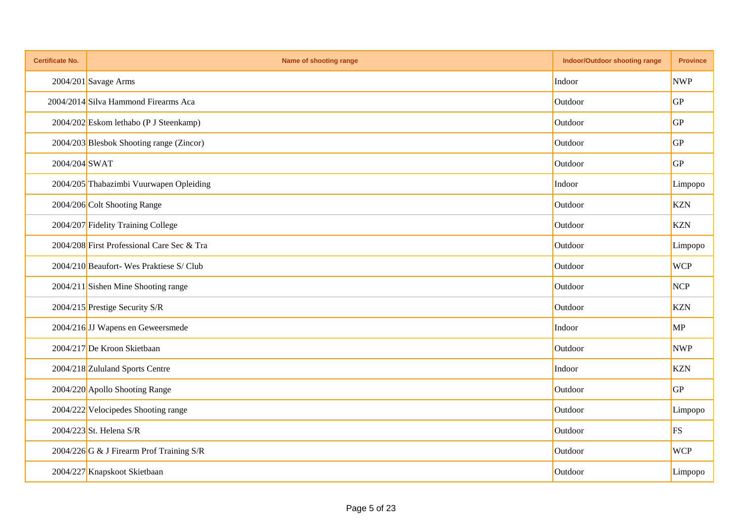| <b>Certificate No.</b> | Name of shooting range                     | <b>Indoor/Outdoor shooting range</b> | <b>Province</b> |
|------------------------|--------------------------------------------|--------------------------------------|-----------------|
|                        | 2004/201 Savage Arms                       | Indoor                               | <b>NWP</b>      |
|                        | 2004/2014 Silva Hammond Firearms Aca       | Outdoor                              | GP              |
|                        | 2004/202 Eskom lethabo (P J Steenkamp)     | Outdoor                              | GP              |
|                        | 2004/203 Blesbok Shooting range (Zincor)   | Outdoor                              | GP              |
| 2004/204 SWAT          |                                            | Outdoor                              | GP              |
|                        | 2004/205 Thabazimbi Vuurwapen Opleiding    | Indoor                               | Limpopo         |
|                        | 2004/206 Colt Shooting Range               | Outdoor                              | <b>KZN</b>      |
|                        | 2004/207 Fidelity Training College         | Outdoor                              | <b>KZN</b>      |
|                        | 2004/208 First Professional Care Sec & Tra | Outdoor                              | Limpopo         |
|                        | 2004/210 Beaufort- Wes Praktiese S/ Club   | Outdoor                              | <b>WCP</b>      |
|                        | 2004/211 Sishen Mine Shooting range        | Outdoor                              | NCP             |
|                        | 2004/215 Prestige Security S/R             | Outdoor                              | <b>KZN</b>      |
|                        | 2004/216 JJ Wapens en Geweersmede          | Indoor                               | MP              |
|                        | 2004/217 De Kroon Skietbaan                | Outdoor                              | <b>NWP</b>      |
|                        | 2004/218 Zululand Sports Centre            | Indoor                               | <b>KZN</b>      |
|                        | 2004/220 Apollo Shooting Range             | Outdoor                              | GP              |
|                        | 2004/222 Velocipedes Shooting range        | Outdoor                              | Limpopo         |
|                        | 2004/223 St. Helena S/R                    | Outdoor                              | FS              |
|                        | 2004/226 G & J Firearm Prof Training S/R   | Outdoor                              | <b>WCP</b>      |
|                        | 2004/227 Knapskoot Skietbaan               | Outdoor                              | Limpopo         |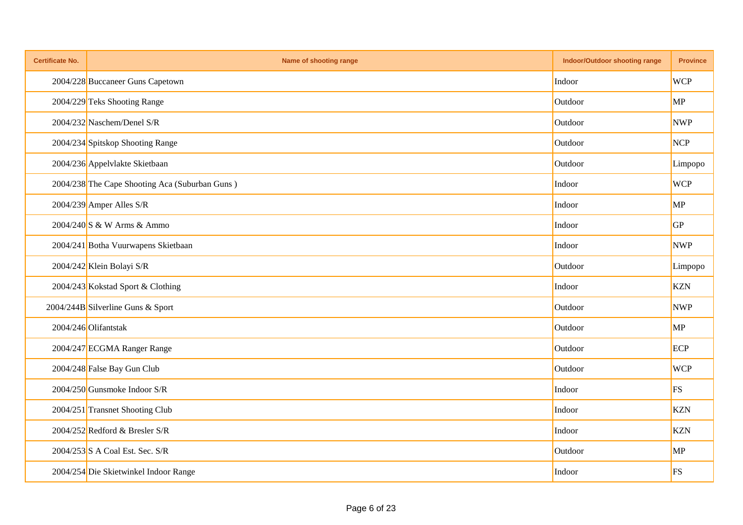| <b>Certificate No.</b> | Name of shooting range                         | <b>Indoor/Outdoor shooting range</b> | <b>Province</b> |
|------------------------|------------------------------------------------|--------------------------------------|-----------------|
|                        | 2004/228 Buccaneer Guns Capetown               | Indoor                               | <b>WCP</b>      |
|                        | 2004/229 Teks Shooting Range                   | Outdoor                              | MP              |
|                        | 2004/232 Naschem/Denel S/R                     | Outdoor                              | <b>NWP</b>      |
|                        | 2004/234 Spitskop Shooting Range               | Outdoor                              | <b>NCP</b>      |
|                        | 2004/236 Appelvlakte Skietbaan                 | Outdoor                              | Limpopo         |
|                        | 2004/238 The Cape Shooting Aca (Suburban Guns) | Indoor                               | <b>WCP</b>      |
|                        | 2004/239 Amper Alles S/R                       | Indoor                               | MP              |
|                        | 2004/240 S & W Arms & Ammo                     | Indoor                               | GP              |
|                        | 2004/241 Botha Vuurwapens Skietbaan            | Indoor                               | <b>NWP</b>      |
|                        | 2004/242 Klein Bolayi S/R                      | Outdoor                              | Limpopo         |
|                        | 2004/243 Kokstad Sport & Clothing              | Indoor                               | <b>KZN</b>      |
|                        | 2004/244B Silverline Guns & Sport              | Outdoor                              | <b>NWP</b>      |
|                        | 2004/246 Olifantstak                           | Outdoor                              | MP              |
|                        | 2004/247 ECGMA Ranger Range                    | Outdoor                              | ECP             |
|                        | 2004/248 False Bay Gun Club                    | Outdoor                              | <b>WCP</b>      |
|                        | $2004/250$ Gunsmoke Indoor S/R                 | Indoor                               | FS              |
|                        | 2004/251 Transnet Shooting Club                | Indoor                               | <b>KZN</b>      |
|                        | 2004/252 Redford & Bresler S/R                 | Indoor                               | <b>KZN</b>      |
|                        | 2004/253 S A Coal Est. Sec. S/R                | Outdoor                              | MP              |
|                        | 2004/254 Die Skietwinkel Indoor Range          | Indoor                               | FS              |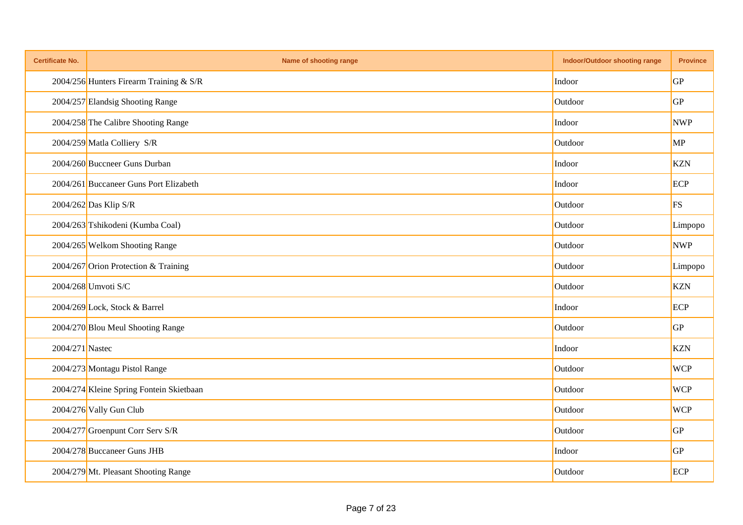| <b>Certificate No.</b> | Name of shooting range                   | <b>Indoor/Outdoor shooting range</b> | <b>Province</b> |
|------------------------|------------------------------------------|--------------------------------------|-----------------|
|                        | 2004/256 Hunters Firearm Training & S/R  | Indoor                               | <b>GP</b>       |
|                        | 2004/257 Elandsig Shooting Range         | Outdoor                              | GP              |
|                        | 2004/258 The Calibre Shooting Range      | Indoor                               | <b>NWP</b>      |
|                        | 2004/259 Matla Colliery S/R              | Outdoor                              | MP              |
|                        | 2004/260 Buccneer Guns Durban            | Indoor                               | <b>KZN</b>      |
|                        | 2004/261 Buccaneer Guns Port Elizabeth   | Indoor                               | ECP             |
|                        | 2004/262 Das Klip S/R                    | Outdoor                              | FS              |
|                        | 2004/263 Tshikodeni (Kumba Coal)         | Outdoor                              | Limpopo         |
|                        | 2004/265 Welkom Shooting Range           | Outdoor                              | <b>NWP</b>      |
|                        | 2004/267 Orion Protection & Training     | Outdoor                              | Limpopo         |
|                        | 2004/268 Umvoti S/C                      | Outdoor                              | <b>KZN</b>      |
|                        | 2004/269 Lock, Stock & Barrel            | Indoor                               | ECP             |
|                        | 2004/270 Blou Meul Shooting Range        | Outdoor                              | GP              |
| 2004/271 Nastec        |                                          | Indoor                               | <b>KZN</b>      |
|                        | 2004/273 Montagu Pistol Range            | Outdoor                              | <b>WCP</b>      |
|                        | 2004/274 Kleine Spring Fontein Skietbaan | Outdoor                              | <b>WCP</b>      |
|                        | 2004/276 Vally Gun Club                  | Outdoor                              | <b>WCP</b>      |
|                        | 2004/277 Groenpunt Corr Serv S/R         | Outdoor                              | GP              |
|                        | 2004/278 Buccaneer Guns JHB              | Indoor                               | GP              |
|                        | 2004/279 Mt. Pleasant Shooting Range     | Outdoor                              | ECP             |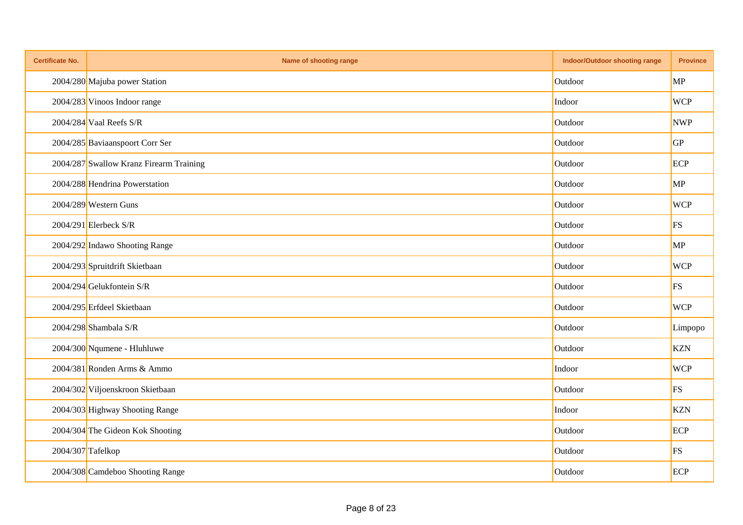| <b>Certificate No.</b> | Name of shooting range                  | <b>Indoor/Outdoor shooting range</b> | <b>Province</b> |
|------------------------|-----------------------------------------|--------------------------------------|-----------------|
|                        | 2004/280 Majuba power Station           | Outdoor                              | MP              |
|                        | 2004/283 Vinoos Indoor range            | Indoor                               | <b>WCP</b>      |
|                        | $2004/284$ Vaal Reefs S/R               | Outdoor                              | <b>NWP</b>      |
|                        | 2004/285 Baviaanspoort Corr Ser         | Outdoor                              | GP              |
|                        | 2004/287 Swallow Kranz Firearm Training | Outdoor                              | ECP             |
|                        | 2004/288 Hendrina Powerstation          | Outdoor                              | MP              |
|                        | 2004/289 Western Guns                   | Outdoor                              | <b>WCP</b>      |
|                        | $2004/291$ Elerbeck S/R                 | Outdoor                              | FS              |
|                        | 2004/292 Indawo Shooting Range          | Outdoor                              | MP              |
|                        | 2004/293 Spruitdrift Skietbaan          | Outdoor                              | <b>WCP</b>      |
|                        | 2004/294 Gelukfontein S/R               | Outdoor                              | <b>FS</b>       |
|                        | 2004/295 Erfdeel Skietbaan              | Outdoor                              | <b>WCP</b>      |
|                        | 2004/298 Shambala S/R                   | Outdoor                              | Limpopo         |
|                        | $2004/300$ Nqumene - Hluhluwe           | Outdoor                              | <b>KZN</b>      |
|                        | 2004/381 Ronden Arms & Ammo             | Indoor                               | <b>WCP</b>      |
|                        | 2004/302 Viljoenskroon Skietbaan        | Outdoor                              | FS              |
|                        | 2004/303 Highway Shooting Range         | Indoor                               | <b>KZN</b>      |
|                        | 2004/304 The Gideon Kok Shooting        | Outdoor                              | ECP             |
|                        | 2004/307 Tafelkop                       | Outdoor                              | FS              |
|                        | 2004/308 Camdeboo Shooting Range        | Outdoor                              | ECP             |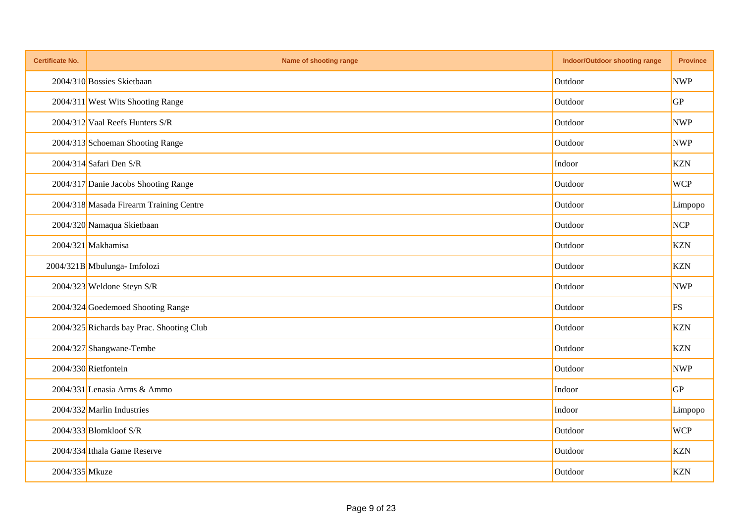| <b>Certificate No.</b> | Name of shooting range                    | <b>Indoor/Outdoor shooting range</b> | <b>Province</b> |
|------------------------|-------------------------------------------|--------------------------------------|-----------------|
|                        | 2004/310 Bossies Skietbaan                | Outdoor                              | <b>NWP</b>      |
|                        | 2004/311 West Wits Shooting Range         | Outdoor                              | GP              |
|                        | 2004/312 Vaal Reefs Hunters S/R           | Outdoor                              | <b>NWP</b>      |
|                        | 2004/313 Schoeman Shooting Range          | Outdoor                              | <b>NWP</b>      |
|                        | $2004/314$ Safari Den S/R                 | Indoor                               | <b>KZN</b>      |
|                        | 2004/317 Danie Jacobs Shooting Range      | Outdoor                              | <b>WCP</b>      |
|                        | 2004/318 Masada Firearm Training Centre   | Outdoor                              | Limpopo         |
|                        | 2004/320 Namaqua Skietbaan                | Outdoor                              | <b>NCP</b>      |
|                        | 2004/321 Makhamisa                        | Outdoor                              | <b>KZN</b>      |
|                        | 2004/321B Mbulunga- Imfolozi              | Outdoor                              | <b>KZN</b>      |
|                        | 2004/323 Weldone Steyn S/R                | Outdoor                              | <b>NWP</b>      |
|                        | 2004/324 Goedemoed Shooting Range         | Outdoor                              | <b>FS</b>       |
|                        | 2004/325 Richards bay Prac. Shooting Club | Outdoor                              | <b>KZN</b>      |
|                        | 2004/327 Shangwane-Tembe                  | Outdoor                              | <b>KZN</b>      |
|                        | 2004/330 Rietfontein                      | Outdoor                              | <b>NWP</b>      |
|                        | 2004/331 Lenasia Arms & Ammo              | Indoor                               | GP              |
|                        | 2004/332 Marlin Industries                | Indoor                               | Limpopo         |
|                        | $2004/333$ Blomkloof S/R                  | Outdoor                              | <b>WCP</b>      |
|                        | 2004/334 Ithala Game Reserve              | Outdoor                              | <b>KZN</b>      |
| 2004/335 Mkuze         |                                           | Outdoor                              | <b>KZN</b>      |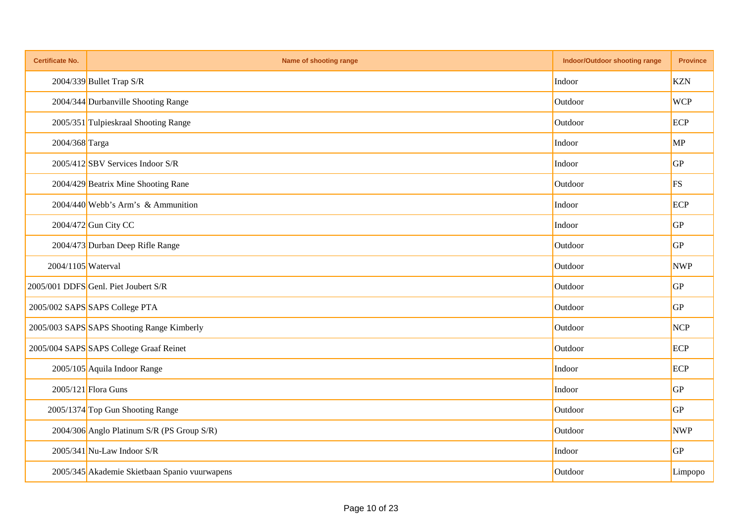| <b>Certificate No.</b> | Name of shooting range                        | Indoor/Outdoor shooting range | <b>Province</b> |
|------------------------|-----------------------------------------------|-------------------------------|-----------------|
|                        | $2004/339$ Bullet Trap S/R                    | Indoor                        | <b>KZN</b>      |
|                        | 2004/344 Durbanville Shooting Range           | Outdoor                       | <b>WCP</b>      |
|                        | 2005/351 Tulpieskraal Shooting Range          | Outdoor                       | ECP             |
| 2004/368 Targa         |                                               | Indoor                        | MP              |
|                        | 2005/412 SBV Services Indoor S/R              | Indoor                        | GP              |
|                        | 2004/429 Beatrix Mine Shooting Rane           | Outdoor                       | <b>FS</b>       |
|                        | 2004/440 Webb's Arm's & Ammunition            | Indoor                        | ECP             |
|                        | 2004/472 Gun City CC                          | Indoor                        | GP              |
|                        | 2004/473 Durban Deep Rifle Range              | Outdoor                       | GP              |
| 2004/1105 Waterval     |                                               | Outdoor                       | <b>NWP</b>      |
|                        | 2005/001 DDFS Genl. Piet Joubert S/R          | Outdoor                       | GP              |
|                        | 2005/002 SAPS SAPS College PTA                | Outdoor                       | GP              |
|                        | 2005/003 SAPS SAPS Shooting Range Kimberly    | Outdoor                       | NCP             |
|                        | 2005/004 SAPS SAPS College Graaf Reinet       | Outdoor                       | ECP             |
|                        | 2005/105 Aquila Indoor Range                  | Indoor                        | ECP             |
|                        | 2005/121 Flora Guns                           | Indoor                        | GP              |
|                        | 2005/1374 Top Gun Shooting Range              | Outdoor                       | GP              |
|                        | 2004/306 Anglo Platinum S/R (PS Group S/R)    | Outdoor                       | <b>NWP</b>      |
|                        | $2005/341$ Nu-Law Indoor S/R                  | Indoor                        | GP              |
|                        | 2005/345 Akademie Skietbaan Spanio vuurwapens | Outdoor                       | Limpopo         |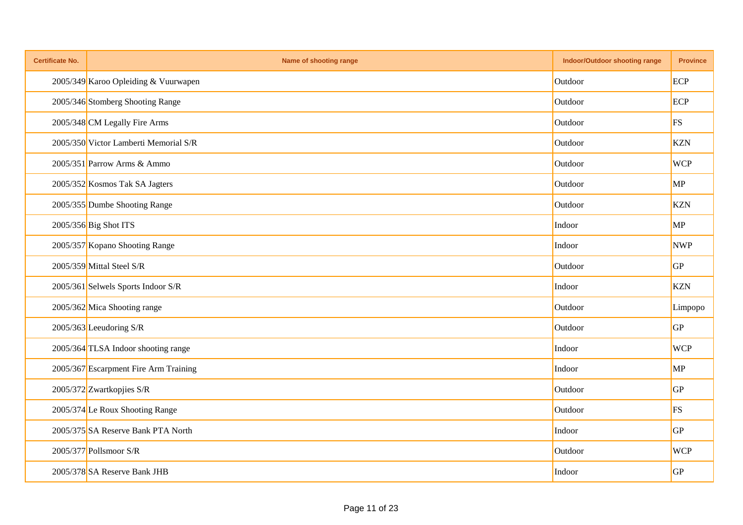| <b>Certificate No.</b> | Name of shooting range                | <b>Indoor/Outdoor shooting range</b> | <b>Province</b> |
|------------------------|---------------------------------------|--------------------------------------|-----------------|
|                        | 2005/349 Karoo Opleiding & Vuurwapen  | Outdoor                              | ECP             |
|                        | 2005/346 Stomberg Shooting Range      | Outdoor                              | ECP             |
|                        | 2005/348 CM Legally Fire Arms         | Outdoor                              | FS              |
|                        | 2005/350 Victor Lamberti Memorial S/R | Outdoor                              | <b>KZN</b>      |
|                        | 2005/351 Parrow Arms & Ammo           | Outdoor                              | <b>WCP</b>      |
|                        | 2005/352 Kosmos Tak SA Jagters        | Outdoor                              | MP              |
|                        | 2005/355 Dumbe Shooting Range         | Outdoor                              | <b>KZN</b>      |
|                        | 2005/356 Big Shot ITS                 | Indoor                               | MP              |
|                        | 2005/357 Kopano Shooting Range        | Indoor                               | <b>NWP</b>      |
|                        | 2005/359 Mittal Steel S/R             | Outdoor                              | GP              |
|                        | 2005/361 Selwels Sports Indoor S/R    | Indoor                               | <b>KZN</b>      |
|                        | 2005/362 Mica Shooting range          | Outdoor                              | Limpopo         |
|                        | 2005/363 Leeudoring S/R               | Outdoor                              | GP              |
|                        | 2005/364 TLSA Indoor shooting range   | Indoor                               | <b>WCP</b>      |
|                        | 2005/367 Escarpment Fire Arm Training | Indoor                               | MP              |
|                        | 2005/372 Zwartkopjies S/R             | Outdoor                              | GP              |
|                        | 2005/374 Le Roux Shooting Range       | Outdoor                              | <b>FS</b>       |
|                        | 2005/375 SA Reserve Bank PTA North    | Indoor                               | GP              |
|                        | 2005/377 Pollsmoor S/R                | Outdoor                              | <b>WCP</b>      |
|                        | 2005/378 SA Reserve Bank JHB          | Indoor                               | GP              |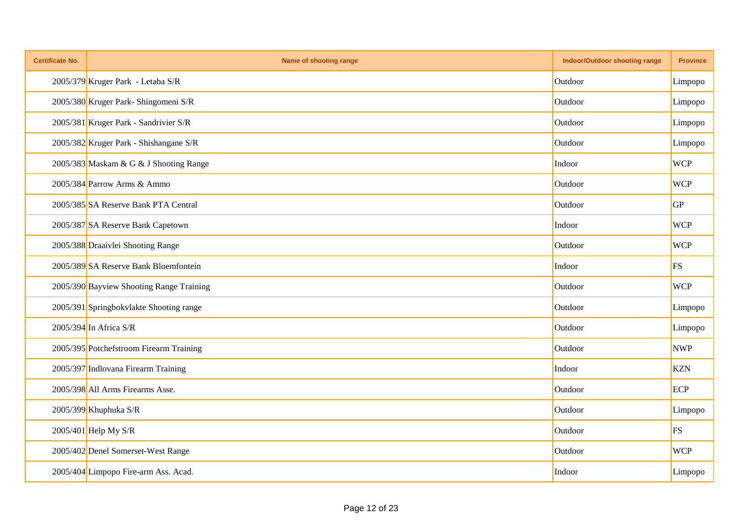| <b>Certificate No.</b> | Name of shooting range                   | Indoor/Outdoor shooting range | <b>Province</b> |
|------------------------|------------------------------------------|-------------------------------|-----------------|
|                        | 2005/379 Kruger Park - Letaba S/R        | Outdoor                       | Limpopo         |
|                        | 2005/380 Kruger Park- Shingomeni S/R     | Outdoor                       | Limpopo         |
|                        | 2005/381 Kruger Park - Sandrivier S/R    | Outdoor                       | Limpopo         |
|                        | 2005/382 Kruger Park - Shishangane S/R   | Outdoor                       | Limpopo         |
|                        | 2005/383 Maskam & G & J Shooting Range   | Indoor                        | <b>WCP</b>      |
|                        | 2005/384 Parrow Arms & Ammo              | Outdoor                       | <b>WCP</b>      |
|                        | 2005/385 SA Reserve Bank PTA Central     | Outdoor                       | <b>GP</b>       |
|                        | 2005/387 SA Reserve Bank Capetown        | Indoor                        | <b>WCP</b>      |
|                        | 2005/388 Draaivlei Shooting Range        | Outdoor                       | <b>WCP</b>      |
|                        | 2005/389 SA Reserve Bank Bloemfontein    | Indoor                        | <b>FS</b>       |
|                        | 2005/390 Bayview Shooting Range Training | Outdoor                       | <b>WCP</b>      |
|                        | 2005/391 Springbokvlakte Shooting range  | Outdoor                       | Limpopo         |
|                        | 2005/394 In Africa S/R                   | Outdoor                       | Limpopo         |
|                        | 2005/395 Potchefstroom Firearm Training  | Outdoor                       | <b>NWP</b>      |
|                        | 2005/397 Indlovana Firearm Training      | Indoor                        | <b>KZN</b>      |
|                        | 2005/398 All Arms Firearms Asse.         | Outdoor                       | ECP             |
|                        | $2005/399$ Khuphuka S/R                  | Outdoor                       | Limpopo         |
|                        | 2005/401 Help My S/R                     | Outdoor                       | <b>FS</b>       |
|                        | 2005/402 Denel Somerset-West Range       | Outdoor                       | <b>WCP</b>      |
|                        | 2005/404 Limpopo Fire-arm Ass. Acad.     | Indoor                        | Limpopo         |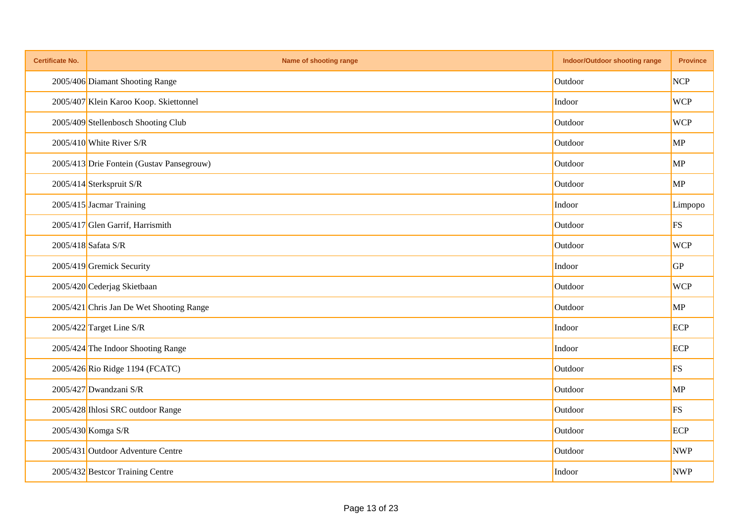| <b>Certificate No.</b> | Name of shooting range                    | <b>Indoor/Outdoor shooting range</b> | <b>Province</b> |
|------------------------|-------------------------------------------|--------------------------------------|-----------------|
|                        | 2005/406 Diamant Shooting Range           | Outdoor                              | <b>NCP</b>      |
|                        | 2005/407 Klein Karoo Koop. Skiettonnel    | Indoor                               | <b>WCP</b>      |
|                        | 2005/409 Stellenbosch Shooting Club       | Outdoor                              | <b>WCP</b>      |
|                        | $2005/410$ White River S/R                | Outdoor                              | MP              |
|                        | 2005/413 Drie Fontein (Gustav Pansegrouw) | Outdoor                              | MP              |
|                        | 2005/414 Sterkspruit S/R                  | Outdoor                              | MP              |
|                        | 2005/415 Jacmar Training                  | Indoor                               | Limpopo         |
|                        | 2005/417 Glen Garrif, Harrismith          | Outdoor                              | <b>FS</b>       |
|                        | 2005/418 Safata S/R                       | Outdoor                              | <b>WCP</b>      |
|                        | 2005/419 Gremick Security                 | Indoor                               | GP              |
|                        | 2005/420 Cederjag Skietbaan               | Outdoor                              | <b>WCP</b>      |
|                        | 2005/421 Chris Jan De Wet Shooting Range  | Outdoor                              | MP              |
|                        | 2005/422 Target Line S/R                  | Indoor                               | ECP             |
|                        | 2005/424 The Indoor Shooting Range        | Indoor                               | ECP             |
|                        | 2005/426 Rio Ridge 1194 (FCATC)           | Outdoor                              | FS              |
|                        | 2005/427 Dwandzani S/R                    | Outdoor                              | MP              |
|                        | 2005/428 Ihlosi SRC outdoor Range         | Outdoor                              | <b>FS</b>       |
|                        | 2005/430 Komga S/R                        | Outdoor                              | ECP             |
|                        | 2005/431 Outdoor Adventure Centre         | Outdoor                              | <b>NWP</b>      |
|                        | 2005/432 Bestcor Training Centre          | Indoor                               | <b>NWP</b>      |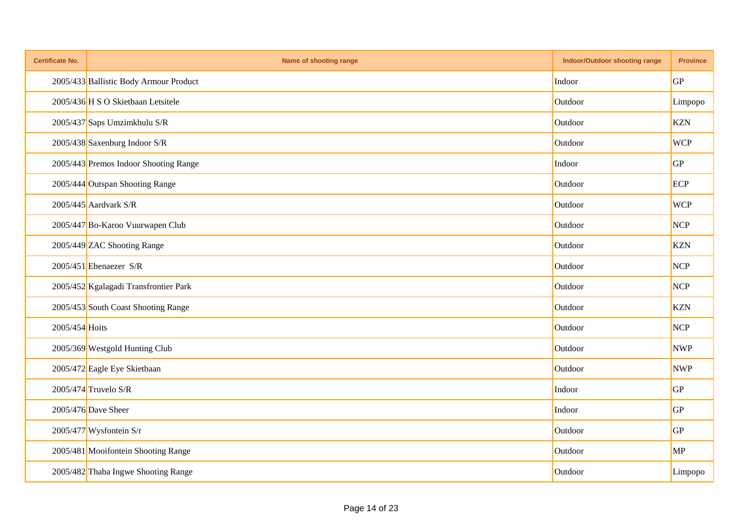| <b>Certificate No.</b> | Name of shooting range                 | <b>Indoor/Outdoor shooting range</b> | <b>Province</b> |
|------------------------|----------------------------------------|--------------------------------------|-----------------|
|                        | 2005/433 Ballistic Body Armour Product | Indoor                               | GP              |
|                        | 2005/436 H S O Skietbaan Letsitele     | Outdoor                              | Limpopo         |
|                        | 2005/437 Saps Umzimkhulu S/R           | Outdoor                              | <b>KZN</b>      |
|                        | 2005/438 Saxenburg Indoor S/R          | Outdoor                              | <b>WCP</b>      |
|                        | 2005/443 Premos Indoor Shooting Range  | Indoor                               | GP              |
|                        | 2005/444 Outspan Shooting Range        | Outdoor                              | ECP             |
|                        | $2005/445$ Aardvark S/R                | Outdoor                              | <b>WCP</b>      |
|                        | 2005/447 Bo-Karoo Vuurwapen Club       | Outdoor                              | <b>NCP</b>      |
|                        | 2005/449 ZAC Shooting Range            | Outdoor                              | <b>KZN</b>      |
|                        | $2005/451$ Ebenaezer S/R               | Outdoor                              | <b>NCP</b>      |
|                        | 2005/452 Kgalagadi Transfrontier Park  | Outdoor                              | <b>NCP</b>      |
|                        | 2005/453 South Coast Shooting Range    | Outdoor                              | <b>KZN</b>      |
| 2005/454 Hoits         |                                        | Outdoor                              | NCP             |
|                        | 2005/369 Westgold Hunting Club         | Outdoor                              | <b>NWP</b>      |
|                        | 2005/472 Eagle Eye Skietbaan           | Outdoor                              | <b>NWP</b>      |
|                        | 2005/474 Truvelo S/R                   | Indoor                               | GP              |
|                        | $2005/476$ Dave Sheer                  | Indoor                               | GP              |
|                        | $2005/477$ Wysfontein S/r              | Outdoor                              | GP              |
|                        | 2005/481 Mooifontein Shooting Range    | Outdoor                              | MP              |
|                        | 2005/482 Thaba Ingwe Shooting Range    | Outdoor                              | Limpopo         |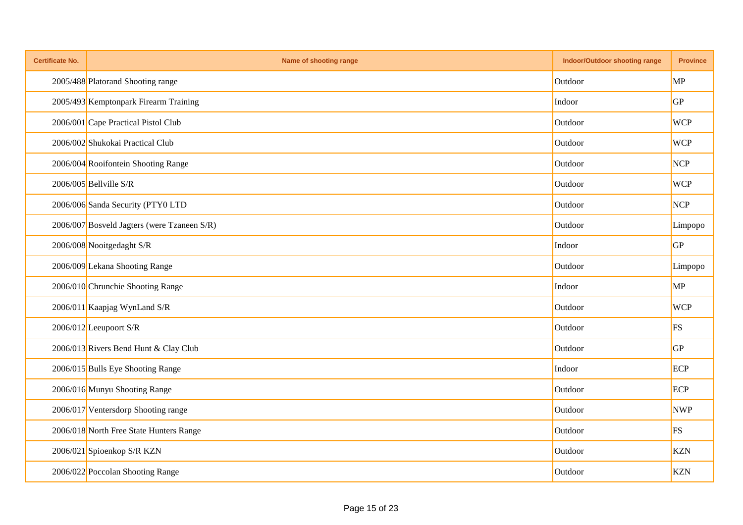| <b>Certificate No.</b> | Name of shooting range                      | Indoor/Outdoor shooting range | <b>Province</b> |
|------------------------|---------------------------------------------|-------------------------------|-----------------|
|                        | 2005/488 Platorand Shooting range           | Outdoor                       | MP              |
|                        | 2005/493 Kemptonpark Firearm Training       | Indoor                        | GP              |
|                        | 2006/001 Cape Practical Pistol Club         | Outdoor                       | <b>WCP</b>      |
|                        | 2006/002 Shukokai Practical Club            | Outdoor                       | <b>WCP</b>      |
|                        | 2006/004 Rooifontein Shooting Range         | Outdoor                       | <b>NCP</b>      |
|                        | 2006/005 Bellville S/R                      | Outdoor                       | <b>WCP</b>      |
|                        | 2006/006 Sanda Security (PTY0 LTD           | Outdoor                       | <b>NCP</b>      |
|                        | 2006/007 Bosveld Jagters (were Tzaneen S/R) | Outdoor                       | Limpopo         |
|                        | 2006/008 Nooitgedaght S/R                   | Indoor                        | GP              |
|                        | 2006/009 Lekana Shooting Range              | Outdoor                       | Limpopo         |
|                        | 2006/010 Chrunchie Shooting Range           | Indoor                        | MP              |
|                        | 2006/011 Kaapjag WynLand S/R                | Outdoor                       | <b>WCP</b>      |
|                        | 2006/012 Leeupoort S/R                      | Outdoor                       | FS              |
|                        | 2006/013 Rivers Bend Hunt & Clay Club       | Outdoor                       | GP              |
|                        | 2006/015 Bulls Eye Shooting Range           | Indoor                        | ECP             |
|                        | 2006/016 Munyu Shooting Range               | Outdoor                       | ECP             |
|                        | 2006/017 Ventersdorp Shooting range         | Outdoor                       | <b>NWP</b>      |
|                        | 2006/018 North Free State Hunters Range     | Outdoor                       | FS              |
|                        | 2006/021 Spioenkop S/R KZN                  | Outdoor                       | <b>KZN</b>      |
|                        | 2006/022 Poccolan Shooting Range            | Outdoor                       | <b>KZN</b>      |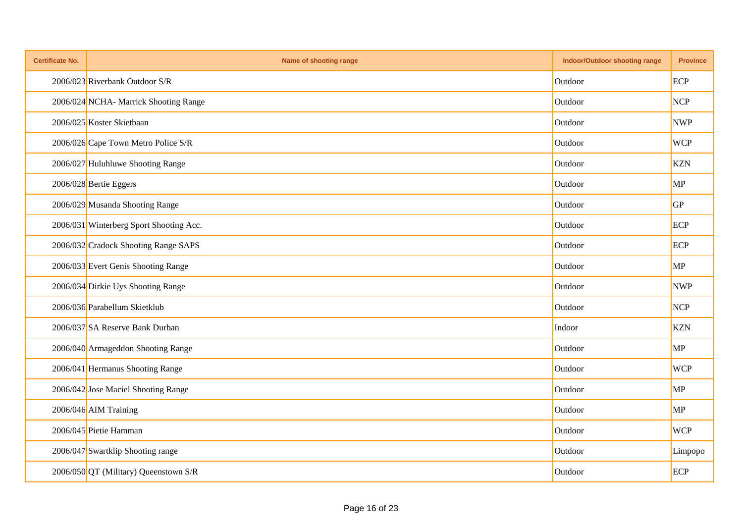| <b>Certificate No.</b> | Name of shooting range                  | <b>Indoor/Outdoor shooting range</b> | <b>Province</b> |
|------------------------|-----------------------------------------|--------------------------------------|-----------------|
|                        | 2006/023 Riverbank Outdoor S/R          | Outdoor                              | ECP             |
|                        | 2006/024 NCHA- Marrick Shooting Range   | Outdoor                              | <b>NCP</b>      |
|                        | 2006/025 Koster Skietbaan               | Outdoor                              | <b>NWP</b>      |
|                        | 2006/026 Cape Town Metro Police S/R     | Outdoor                              | <b>WCP</b>      |
|                        | 2006/027 Huluhluwe Shooting Range       | Outdoor                              | <b>KZN</b>      |
|                        | 2006/028 Bertie Eggers                  | Outdoor                              | MP              |
|                        | 2006/029 Musanda Shooting Range         | Outdoor                              | GP              |
|                        | 2006/031 Winterberg Sport Shooting Acc. | Outdoor                              | ECP             |
|                        | 2006/032 Cradock Shooting Range SAPS    | Outdoor                              | ECP             |
|                        | 2006/033 Evert Genis Shooting Range     | Outdoor                              | MP              |
|                        | 2006/034 Dirkie Uys Shooting Range      | Outdoor                              | <b>NWP</b>      |
|                        | 2006/036 Parabellum Skietklub           | Outdoor                              | <b>NCP</b>      |
|                        | 2006/037 SA Reserve Bank Durban         | Indoor                               | <b>KZN</b>      |
|                        | 2006/040 Armageddon Shooting Range      | Outdoor                              | MP              |
|                        | 2006/041 Hermanus Shooting Range        | Outdoor                              | <b>WCP</b>      |
|                        | 2006/042 Jose Maciel Shooting Range     | Outdoor                              | MP              |
|                        | 2006/046 AIM Training                   | Outdoor                              | MP              |
|                        | 2006/045 Pietie Hamman                  | Outdoor                              | <b>WCP</b>      |
|                        | 2006/047 Swartklip Shooting range       | Outdoor                              | Limpopo         |
|                        | 2006/050 QT (Military) Queenstown S/R   | Outdoor                              | ECP             |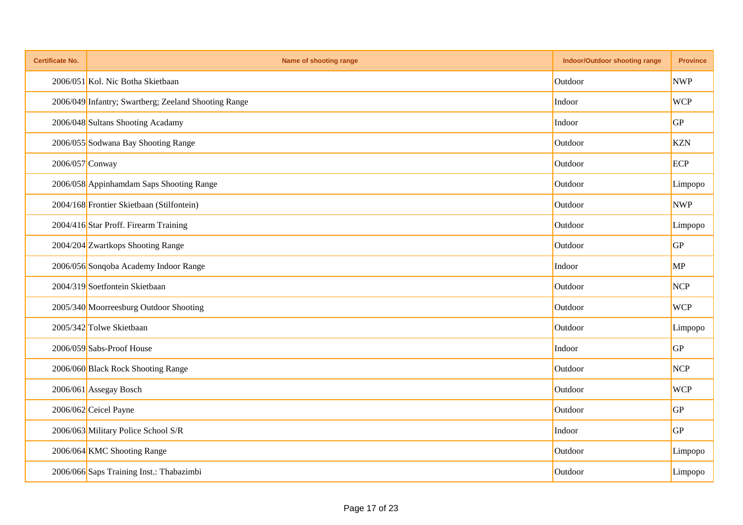| <b>Certificate No.</b> | Name of shooting range                               | Indoor/Outdoor shooting range | <b>Province</b> |
|------------------------|------------------------------------------------------|-------------------------------|-----------------|
|                        | 2006/051 Kol. Nic Botha Skietbaan                    | Outdoor                       | <b>NWP</b>      |
|                        | 2006/049 Infantry; Swartberg; Zeeland Shooting Range | Indoor                        | <b>WCP</b>      |
|                        | 2006/048 Sultans Shooting Acadamy                    | Indoor                        | GP              |
|                        | 2006/055 Sodwana Bay Shooting Range                  | Outdoor                       | <b>KZN</b>      |
| 2006/057 Conway        |                                                      | Outdoor                       | ECP             |
|                        | 2006/058 Appinhamdam Saps Shooting Range             | Outdoor                       | Limpopo         |
|                        | 2004/168 Frontier Skietbaan (Stilfontein)            | Outdoor                       | <b>NWP</b>      |
|                        | 2004/416 Star Proff. Firearm Training                | Outdoor                       | Limpopo         |
|                        | 2004/204 Zwartkops Shooting Range                    | Outdoor                       | GP              |
|                        | 2006/056 Sonqoba Academy Indoor Range                | Indoor                        | MP              |
|                        | 2004/319 Soetfontein Skietbaan                       | Outdoor                       | <b>NCP</b>      |
|                        | 2005/340 Moorreesburg Outdoor Shooting               | Outdoor                       | <b>WCP</b>      |
|                        | 2005/342 Tolwe Skietbaan                             | Outdoor                       | Limpopo         |
|                        | 2006/059 Sabs-Proof House                            | Indoor                        | GP              |
|                        | 2006/060 Black Rock Shooting Range                   | Outdoor                       | <b>NCP</b>      |
|                        | 2006/061 Assegay Bosch                               | Outdoor                       | <b>WCP</b>      |
|                        | 2006/062 Ceicel Payne                                | Outdoor                       | GP              |
|                        | 2006/063 Military Police School S/R                  | Indoor                        | GP              |
|                        | 2006/064 KMC Shooting Range                          | Outdoor                       | Limpopo         |
|                        | 2006/066 Saps Training Inst.: Thabazimbi             | Outdoor                       | Limpopo         |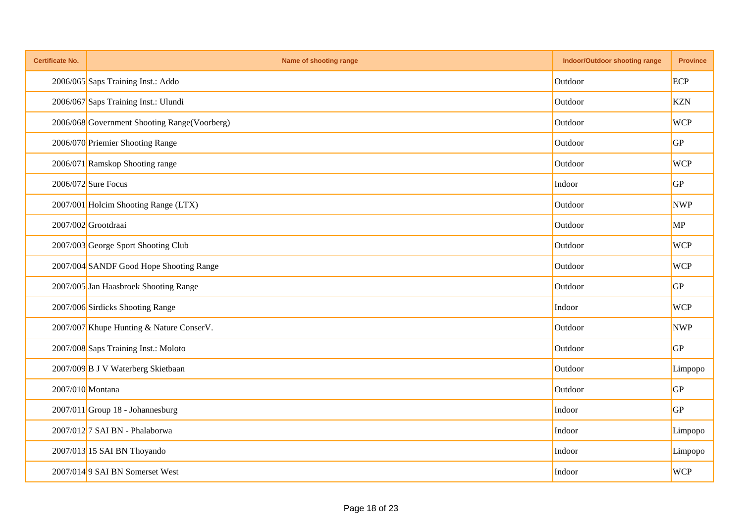| <b>Certificate No.</b> | Name of shooting range                       | Indoor/Outdoor shooting range | <b>Province</b> |
|------------------------|----------------------------------------------|-------------------------------|-----------------|
|                        | 2006/065 Saps Training Inst.: Addo           | Outdoor                       | ECP             |
|                        | 2006/067 Saps Training Inst.: Ulundi         | Outdoor                       | <b>KZN</b>      |
|                        | 2006/068 Government Shooting Range(Voorberg) | Outdoor                       | <b>WCP</b>      |
|                        | 2006/070 Priemier Shooting Range             | Outdoor                       | GP              |
|                        | 2006/071 Ramskop Shooting range              | Outdoor                       | <b>WCP</b>      |
|                        | $2006/072$ Sure Focus                        | Indoor                        | GP              |
|                        | 2007/001 Holcim Shooting Range (LTX)         | Outdoor                       | <b>NWP</b>      |
|                        | 2007/002 Grootdraai                          | Outdoor                       | MP              |
|                        | 2007/003 George Sport Shooting Club          | Outdoor                       | <b>WCP</b>      |
|                        | 2007/004 SANDF Good Hope Shooting Range      | Outdoor                       | <b>WCP</b>      |
|                        | 2007/005 Jan Haasbroek Shooting Range        | Outdoor                       | GP              |
|                        | 2007/006 Sirdicks Shooting Range             | Indoor                        | <b>WCP</b>      |
|                        | 2007/007 Khupe Hunting & Nature ConserV.     | Outdoor                       | <b>NWP</b>      |
|                        | 2007/008 Saps Training Inst.: Moloto         | Outdoor                       | GP              |
|                        | 2007/009 B J V Waterberg Skietbaan           | Outdoor                       | Limpopo         |
| 2007/010 Montana       |                                              | Outdoor                       | GP              |
|                        | $2007/011$ Group 18 - Johannesburg           | Indoor                        | GP              |
|                        | 2007/012 <sup>7</sup> SAI BN - Phalaborwa    | Indoor                        | Limpopo         |
|                        | 2007/013 15 SAI BN Thoyando                  | Indoor                        | Limpopo         |
|                        | 2007/0149 SAI BN Somerset West               | Indoor                        | <b>WCP</b>      |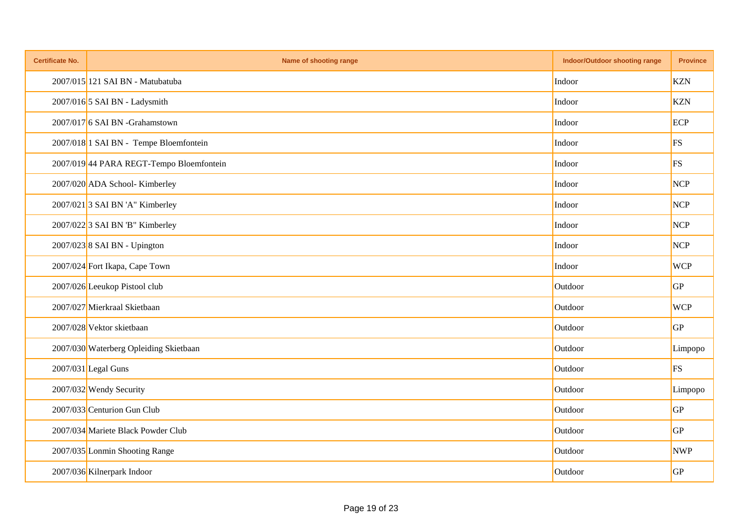| <b>Certificate No.</b> | Name of shooting range                       | <b>Indoor/Outdoor shooting range</b> | <b>Province</b> |
|------------------------|----------------------------------------------|--------------------------------------|-----------------|
|                        | 2007/015 121 SAI BN - Matubatuba             | Indoor                               | <b>KZN</b>      |
|                        | 2007/016 5 SAI BN - Ladysmith                | Indoor                               | <b>KZN</b>      |
|                        | 2007/017 6 SAI BN -Grahamstown               | Indoor                               | ECP             |
|                        | 2007/018 1 SAI BN - Tempe Bloemfontein       | Indoor                               | FS              |
|                        | 2007/019 44 PARA REGT-Tempo Bloemfontein     | Indoor                               | FS              |
|                        | 2007/020 ADA School- Kimberley               | Indoor                               | <b>NCP</b>      |
|                        | 2007/021 3 SAI BN 'A" Kimberley              | Indoor                               | <b>NCP</b>      |
|                        | $2007/022$ <sup>3</sup> SAI BN 'B" Kimberley | Indoor                               | <b>NCP</b>      |
|                        | 2007/023 8 SAI BN - Upington                 | Indoor                               | <b>NCP</b>      |
|                        | 2007/024 Fort Ikapa, Cape Town               | Indoor                               | <b>WCP</b>      |
|                        | 2007/026 Leeukop Pistool club                | Outdoor                              | GP              |
|                        | 2007/027 Mierkraal Skietbaan                 | Outdoor                              | <b>WCP</b>      |
|                        | 2007/028 Vektor skietbaan                    | Outdoor                              | GP              |
|                        | 2007/030 Waterberg Opleiding Skietbaan       | Outdoor                              | Limpopo         |
|                        | $2007/031$ Legal Guns                        | Outdoor                              | <b>FS</b>       |
|                        | 2007/032 Wendy Security                      | Outdoor                              | Limpopo         |
|                        | 2007/033 Centurion Gun Club                  | Outdoor                              | GP              |
|                        | 2007/034 Mariete Black Powder Club           | Outdoor                              | GP              |
|                        | 2007/035 Lonmin Shooting Range               | Outdoor                              | <b>NWP</b>      |
|                        | 2007/036 Kilnerpark Indoor                   | Outdoor                              | GP              |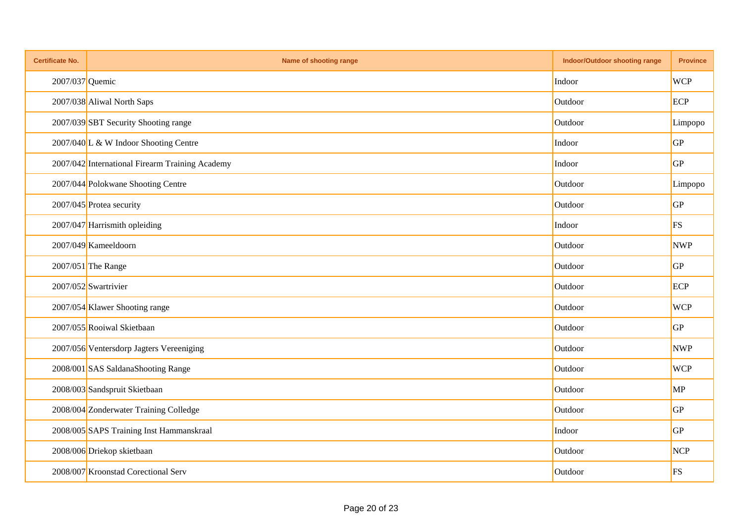| <b>Certificate No.</b> | Name of shooting range                          | <b>Indoor/Outdoor shooting range</b> | <b>Province</b> |
|------------------------|-------------------------------------------------|--------------------------------------|-----------------|
| 2007/037 Quemic        |                                                 | Indoor                               | <b>WCP</b>      |
|                        | 2007/038 Aliwal North Saps                      | Outdoor                              | ECP             |
|                        | 2007/039 SBT Security Shooting range            | Outdoor                              | Limpopo         |
|                        | 2007/040 L & W Indoor Shooting Centre           | Indoor                               | GP              |
|                        | 2007/042 International Firearm Training Academy | Indoor                               | GP              |
|                        | 2007/044 Polokwane Shooting Centre              | Outdoor                              | Limpopo         |
|                        | 2007/045 Protea security                        | Outdoor                              | GP              |
|                        | 2007/047 Harrismith opleiding                   | Indoor                               | FS              |
|                        | 2007/049 Kameeldoorn                            | Outdoor                              | <b>NWP</b>      |
|                        | 2007/051 The Range                              | Outdoor                              | GP              |
|                        | 2007/052 Swartrivier                            | Outdoor                              | ECP             |
|                        | 2007/054 Klawer Shooting range                  | Outdoor                              | <b>WCP</b>      |
|                        | 2007/055 Rooiwal Skietbaan                      | Outdoor                              | GP              |
|                        | 2007/056 Ventersdorp Jagters Vereeniging        | Outdoor                              | <b>NWP</b>      |
|                        | 2008/001 SAS SaldanaShooting Range              | Outdoor                              | <b>WCP</b>      |
|                        | 2008/003 Sandspruit Skietbaan                   | Outdoor                              | MP              |
|                        | 2008/004 Zonderwater Training Colledge          | Outdoor                              | GP              |
|                        | 2008/005 SAPS Training Inst Hammanskraal        | Indoor                               | GP              |
|                        | 2008/006 Driekop skietbaan                      | Outdoor                              | <b>NCP</b>      |
|                        | 2008/007 Kroonstad Corectional Serv             | Outdoor                              | FS              |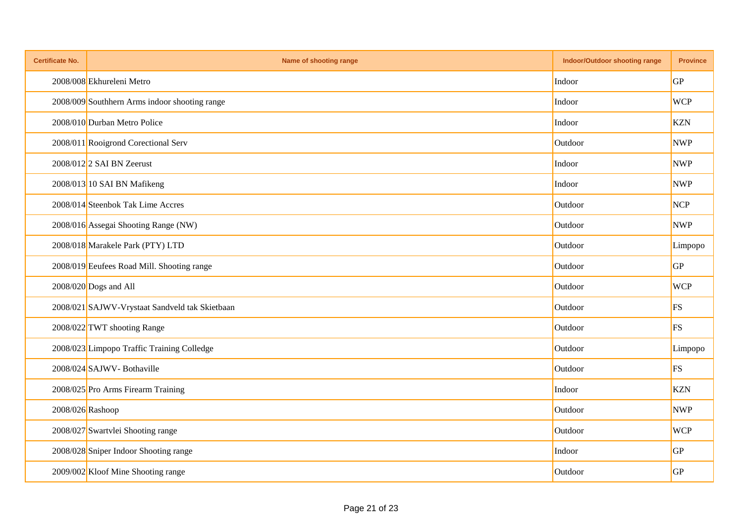| <b>Certificate No.</b> | Name of shooting range                         | Indoor/Outdoor shooting range | <b>Province</b> |
|------------------------|------------------------------------------------|-------------------------------|-----------------|
|                        | 2008/008 Ekhureleni Metro                      | Indoor                        | <b>GP</b>       |
|                        | 2008/009 Southhern Arms indoor shooting range  | Indoor                        | <b>WCP</b>      |
|                        | 2008/010 Durban Metro Police                   | Indoor                        | <b>KZN</b>      |
|                        | 2008/011 Rooigrond Corectional Serv            | Outdoor                       | <b>NWP</b>      |
|                        | $2008/012$ 2 SAI BN Zeerust                    | Indoor                        | <b>NWP</b>      |
|                        | 2008/013 10 SAI BN Mafikeng                    | Indoor                        | <b>NWP</b>      |
|                        | 2008/014 Steenbok Tak Lime Accres              | Outdoor                       | <b>NCP</b>      |
|                        | 2008/016 Assegai Shooting Range (NW)           | Outdoor                       | <b>NWP</b>      |
|                        | 2008/018 Marakele Park (PTY) LTD               | Outdoor                       | Limpopo         |
|                        | 2008/019 Eeufees Road Mill. Shooting range     | Outdoor                       | GP              |
|                        | $2008/020$ Dogs and All                        | Outdoor                       | <b>WCP</b>      |
|                        | 2008/021 SAJWV-Vrystaat Sandveld tak Skietbaan | Outdoor                       | FS              |
|                        | 2008/022 TWT shooting Range                    | Outdoor                       | FS              |
|                        | 2008/023 Limpopo Traffic Training Colledge     | Outdoor                       | Limpopo         |
|                        | 2008/024 SAJWV-Bothaville                      | Outdoor                       | FS              |
|                        | 2008/025 Pro Arms Firearm Training             | Indoor                        | <b>KZN</b>      |
| 2008/026 Rashoop       |                                                | Outdoor                       | <b>NWP</b>      |
|                        | 2008/027 Swartvlei Shooting range              | Outdoor                       | <b>WCP</b>      |
|                        | 2008/028 Sniper Indoor Shooting range          | Indoor                        | GP              |
|                        | 2009/002 Kloof Mine Shooting range             | Outdoor                       | GP              |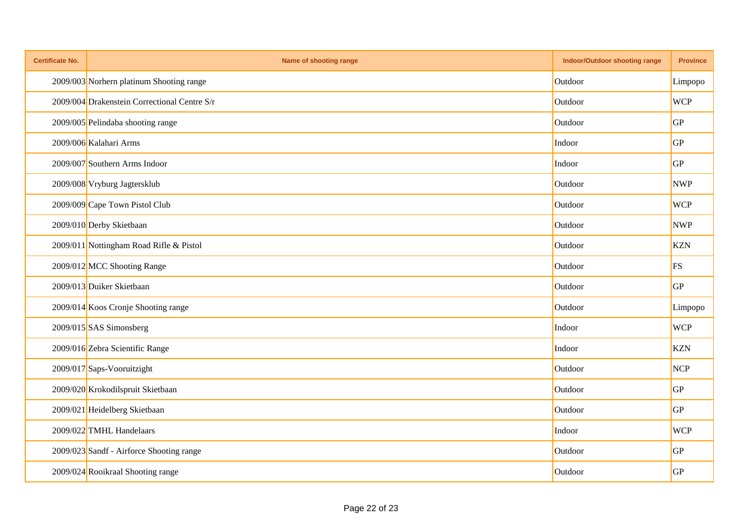| <b>Certificate No.</b> | Name of shooting range                       | <b>Indoor/Outdoor shooting range</b> | <b>Province</b> |
|------------------------|----------------------------------------------|--------------------------------------|-----------------|
|                        | 2009/003 Norhern platinum Shooting range     | Outdoor                              | Limpopo         |
|                        | 2009/004 Drakenstein Correctional Centre S/r | Outdoor                              | <b>WCP</b>      |
|                        | 2009/005 Pelindaba shooting range            | Outdoor                              | GP              |
|                        | 2009/006 Kalahari Arms                       | Indoor                               | GP              |
|                        | 2009/007 Southern Arms Indoor                | Indoor                               | GP              |
|                        | 2009/008 Vryburg Jagtersklub                 | Outdoor                              | <b>NWP</b>      |
|                        | 2009/009 Cape Town Pistol Club               | Outdoor                              | <b>WCP</b>      |
|                        | 2009/010 Derby Skietbaan                     | Outdoor                              | <b>NWP</b>      |
|                        | 2009/011 Nottingham Road Rifle & Pistol      | Outdoor                              | <b>KZN</b>      |
|                        | 2009/012 MCC Shooting Range                  | Outdoor                              | <b>FS</b>       |
|                        | 2009/013 Duiker Skietbaan                    | Outdoor                              | GP              |
|                        | 2009/014 Koos Cronje Shooting range          | Outdoor                              | Limpopo         |
|                        | 2009/015 SAS Simonsberg                      | Indoor                               | <b>WCP</b>      |
|                        | 2009/016 Zebra Scientific Range              | Indoor                               | <b>KZN</b>      |
|                        | 2009/017 Saps-Vooruitzight                   | Outdoor                              | <b>NCP</b>      |
|                        | 2009/020 Krokodilspruit Skietbaan            | Outdoor                              | GP              |
|                        | 2009/021 Heidelberg Skietbaan                | Outdoor                              | GP              |
|                        | 2009/022 TMHL Handelaars                     | Indoor                               | <b>WCP</b>      |
|                        | 2009/023 Sandf - Airforce Shooting range     | Outdoor                              | GP              |
|                        | 2009/024 Rooikraal Shooting range            | Outdoor                              | GP              |